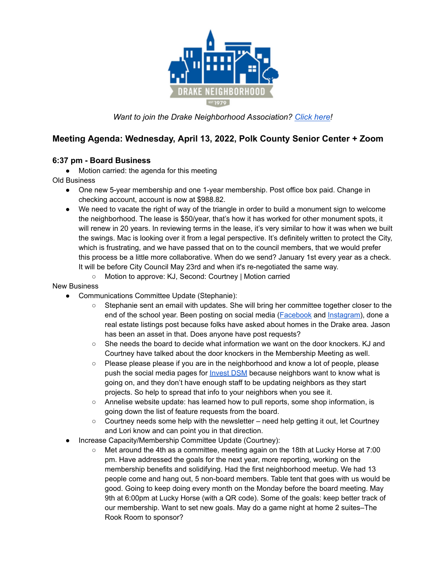

## *Want to join the Drake Neighborhood Association? [Click](https://dna.wildapricot.org/) here!*

# **Meeting Agenda: Wednesday, April 13, 2022, Polk County Senior Center + Zoom**

### **6:37 pm - Board Business**

● Motion carried: the agenda for this meeting

Old Business

- One new 5-year membership and one 1-year membership. Post office box paid. Change in checking account, account is now at \$988.82.
- We need to vacate the right of way of the triangle in order to build a monument sign to welcome the neighborhood. The lease is \$50/year, that's how it has worked for other monument spots, it will renew in 20 years. In reviewing terms in the lease, it's very similar to how it was when we built the swings. Mac is looking over it from a legal perspective. It's definitely written to protect the City, which is frustrating, and we have passed that on to the council members, that we would prefer this process be a little more collaborative. When do we send? January 1st every year as a check. It will be before City Council May 23rd and when it's re-negotiated the same way.

○ Motion to approve: KJ, Second: Courtney | Motion carried

#### New Business

- Communications Committee Update (Stephanie):
	- Stephanie sent an email with updates. She will bring her committee together closer to the end of the school year. Been posting on social media [\(Facebook](https://www.facebook.com/DrakeNeighborhoodAssociation/?ref=page_internal) and [Instagram\)](https://www.instagram.com/drakeneighborhood/?hl=en), done a real estate listings post because folks have asked about homes in the Drake area. Jason has been an asset in that. Does anyone have post requests?
	- She needs the board to decide what information we want on the door knockers. KJ and Courtney have talked about the door knockers in the Membership Meeting as well.
	- Please please please if you are in the neighborhood and know a lot of people, please push the social media pages for **[Invest](https://www.instagram.com/invest_dsm/) DSM** because neighbors want to know what is going on, and they don't have enough staff to be updating neighbors as they start projects. So help to spread that info to your neighbors when you see it.
	- Annelise website update: has learned how to pull reports, some shop information, is going down the list of feature requests from the board.
	- Courtney needs some help with the newsletter need help getting it out, let Courtney and Lori know and can point you in that direction.
- Increase Capacity/Membership Committee Update (Courtney):
	- Met around the 4th as a committee, meeting again on the 18th at Lucky Horse at 7:00 pm. Have addressed the goals for the next year, more reporting, working on the membership benefits and solidifying. Had the first neighborhood meetup. We had 13 people come and hang out, 5 non-board members. Table tent that goes with us would be good. Going to keep doing every month on the Monday before the board meeting. May 9th at 6:00pm at Lucky Horse (with a QR code). Some of the goals: keep better track of our membership. Want to set new goals. May do a game night at home 2 suites–The Rook Room to sponsor?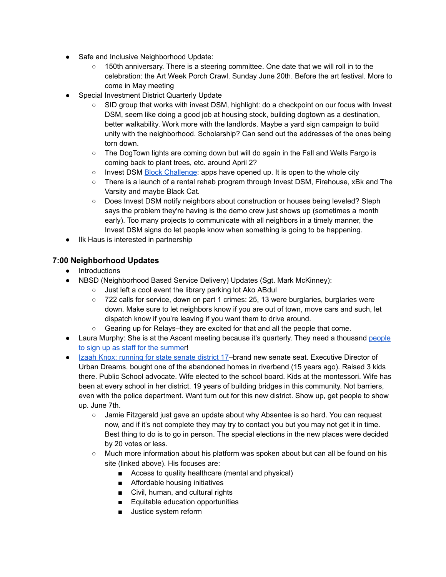- Safe and Inclusive Neighborhood Update:
	- 150th anniversary. There is a steering committee. One date that we will roll in to the celebration: the Art Week Porch Crawl. Sunday June 20th. Before the art festival. More to come in May meeting
- **Special Investment District Quarterly Update** 
	- SID group that works with invest DSM, highlight: do a checkpoint on our focus with Invest DSM, seem like doing a good job at housing stock, building dogtown as a destination, better walkability. Work more with the landlords. Maybe a yard sign campaign to build unity with the neighborhood. Scholarship? Can send out the addresses of the ones being torn down.
	- The DogTown lights are coming down but will do again in the Fall and Wells Fargo is coming back to plant trees, etc. around April 2?
	- Invest DSM Block [Challenge:](https://investdsm.org/programs/#Block-Challenge-Grant-Program) apps have opened up. It is open to the whole city
	- There is a launch of a rental rehab program through Invest DSM, Firehouse, xBk and The Varsity and maybe Black Cat.
	- Does Invest DSM notify neighbors about construction or houses being leveled? Steph says the problem they're having is the demo crew just shows up (sometimes a month early). Too many projects to communicate with all neighbors in a timely manner, the Invest DSM signs do let people know when something is going to be happening.
- Ilk Haus is interested in partnership

### **7:00 Neighborhood Updates**

- Introductions
- NBSD (Neighborhood Based Service Delivery) Updates (Sgt. Mark McKinney):
	- Just left a cool event the library parking lot Ako ABdul
	- 722 calls for service, down on part 1 crimes: 25, 13 were burglaries, burglaries were down. Make sure to let neighbors know if you are out of town, move cars and such, let dispatch know if you're leaving if you want them to drive around.
	- Gearing up for Relays–they are excited for that and all the people that come.
- Laura Murphy: She is at the Ascent meeting because it's quarterly. They need a thousand [people](https://www.governmentjobs.com/careers/desmoines?department[0]=Parks&sort=PositionTitle%7CAscending) to sign up as staff for the [summer](https://www.governmentjobs.com/careers/desmoines?department[0]=Parks&sort=PositionTitle%7CAscending)!
- Izaah Knox: [running](https://www.izaahforiowa.com/) for state senate district 17–brand new senate seat. Executive Director of Urban Dreams, bought one of the abandoned homes in riverbend (15 years ago). Raised 3 kids there. Public School advocate. Wife elected to the school board. Kids at the montessori. Wife has been at every school in her district. 19 years of building bridges in this community. Not barriers, even with the police department. Want turn out for this new district. Show up, get people to show up. June 7th.
	- Jamie Fitzgerald just gave an update about why Absentee is so hard. You can request now, and if it's not complete they may try to contact you but you may not get it in time. Best thing to do is to go in person. The special elections in the new places were decided by 20 votes or less.
	- Much more information about his platform was spoken about but can all be found on his site (linked above). His focuses are:
		- Access to quality healthcare (mental and physical)
		- Affordable housing initiatives
		- Civil, human, and cultural rights
		- Equitable education opportunities
		- Justice system reform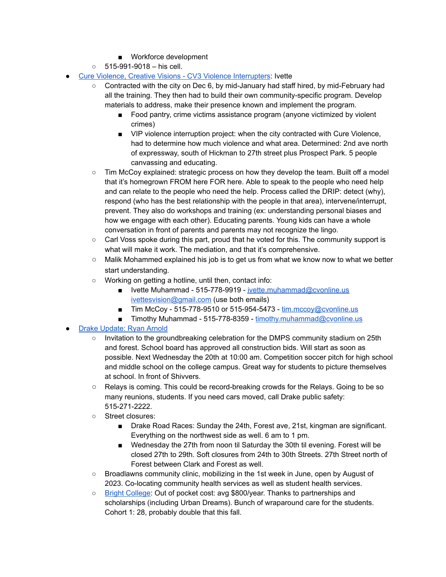- Workforce development
- $\circ$  515-991-9018 his cell.
- Cure Violence, Creative Visions CV3 Violence [Interrupters](https://www.weareiowa.com/article/news/community/cure-violence-project-begins-training-with-staff-selected-for-strong-community-relationships-des-moines-dsm-gun-violence-creative-visions-dmpd/524-a6c73097-b541-4ce3-98e2-075247ce8522): Ivette
	- Contracted with the city on Dec 6, by mid-January had staff hired, by mid-February had all the training. They then had to build their own community-specific program. Develop materials to address, make their presence known and implement the program.
		- Food pantry, crime victims assistance program (anyone victimized by violent crimes)
		- VIP violence interruption project: when the city contracted with Cure Violence, had to determine how much violence and what area. Determined: 2nd ave north of expressway, south of Hickman to 27th street plus Prospect Park. 5 people canvassing and educating.
	- Tim McCoy explained: strategic process on how they develop the team. Built off a model that it's homegrown FROM here FOR here. Able to speak to the people who need help and can relate to the people who need the help. Process called the DRIP: detect (why), respond (who has the best relationship with the people in that area), intervene/interrupt, prevent. They also do workshops and training (ex: understanding personal biases and how we engage with each other). Educating parents. Young kids can have a whole conversation in front of parents and parents may not recognize the lingo.
	- Carl Voss spoke during this part, proud that he voted for this. The community support is what will make it work. The mediation, and that it's comprehensive.
	- Malik Mohammed explained his job is to get us from what we know now to what we better start understanding.
	- Working on getting a hotline, until then, contact info:
		- Ivette Muhammad 515-778-9919 [ivette.muhammad@cvonline.us](mailto:ivette.muhammad@cvonline.us) [ivettesvision@gmail.com](mailto:ivettesvision@gmail.com) (use both emails)
		- Tim McCoy 515-778-9510 or 515-954-5473 [tim.mccoy@cvonline.us](mailto:Tim.mccoy@cvonline.us)
		- Timothy Muhammad 515-778-8359 [timothy.muhammad@cvonline.us](mailto:timothy.muhammad@cvonline.us)

### **Drake [Update:](https://www.drake.edu/community/neighborhoodrelations/) Ryan Arnold**

- Invitation to the groundbreaking celebration for the DMPS community stadium on 25th and forest. School board has approved all construction bids. Will start as soon as possible. Next Wednesday the 20th at 10:00 am. Competition soccer pitch for high school and middle school on the college campus. Great way for students to picture themselves at school. In front of Shivvers.
- Relays is coming. This could be record-breaking crowds for the Relays. Going to be so many reunions, students. If you need cars moved, call Drake public safety: 515-271-2222.
- Street closures:
	- Drake Road Races: Sunday the 24th, Forest ave, 21st, kingman are significant. Everything on the northwest side as well. 6 am to 1 pm.
	- Wednesday the 27th from noon til Saturday the 30th til evening. Forest will be closed 27th to 29th. Soft closures from 24th to 30th Streets. 27th Street north of Forest between Clark and Forest as well.
- Broadlawns community clinic, mobilizing in the 1st week in June, open by August of 2023. Co-locating community health services as well as student health services.
- Bright [College:](https://www.drake.edu/bright/) Out of pocket cost: avg \$800/year. Thanks to partnerships and scholarships (including Urban Dreams). Bunch of wraparound care for the students. Cohort 1: 28, probably double that this fall.